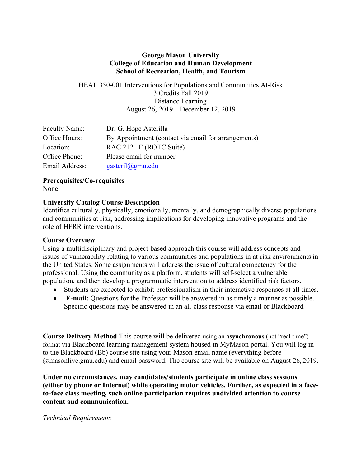#### **George Mason University College of Education and Human Development School of Recreation, Health, and Tourism**

HEAL 350-001 Interventions for Populations and Communities At-Risk 3 Credits Fall 2019 Distance Learning August 26, 2019 – December 12, 2019

| Faculty Name:  | Dr. G. Hope Asterilla                               |
|----------------|-----------------------------------------------------|
| Office Hours:  | By Appointment (contact via email for arrangements) |
| Location:      | RAC 2121 E (ROTC Suite)                             |
| Office Phone:  | Please email for number                             |
| Email Address: | <u>gasteril@gmu.edu</u>                             |

# **Prerequisites/Co-requisites**

None

#### **University Catalog Course Description**

Identifies culturally, physically, emotionally, mentally, and demographically diverse populations and communities at risk, addressing implications for developing innovative programs and the role of HFRR interventions.

#### **Course Overview**

Using a multidisciplinary and project-based approach this course will address concepts and issues of vulnerability relating to various communities and populations in at-risk environments in the United States. Some assignments will address the issue of cultural competency for the professional. Using the community as a platform, students will self-select a vulnerable population, and then develop a programmatic intervention to address identified risk factors.

- Students are expected to exhibit professionalism in their interactive responses at all times.
- **E-mail:** Questions for the Professor will be answered in as timely a manner as possible. Specific questions may be answered in an all-class response via email or Blackboard

**Course Delivery Method** This course will be delivered using an **asynchronous** (not "real time") format via Blackboard learning management system housed in MyMason portal. You will log in to the Blackboard (Bb) course site using your Mason email name (everything before @masonlive.gmu.edu) and email password. The course site will be available on August 26, 2019.

**Under no circumstances, may candidates/students participate in online class sessions (either by phone or Internet) while operating motor vehicles. Further, as expected in a faceto-face class meeting, such online participation requires undivided attention to course content and communication.** 

#### *Technical Requirements*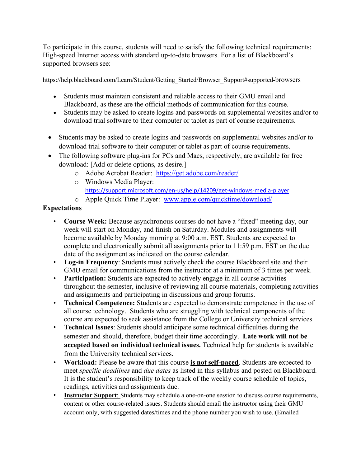To participate in this course, students will need to satisfy the following technical requirements: High-speed Internet access with standard up-to-date browsers. For a list of Blackboard's supported browsers see:

https://help.blackboard.com/Learn/Student/Getting\_Started/Browser\_Support#supported-browsers

- Students must maintain consistent and reliable access to their GMU email and Blackboard, as these are the official methods of communication for this course.
- Students may be asked to create logins and passwords on supplemental websites and/or to download trial software to their computer or tablet as part of course requirements.
- Students may be asked to create logins and passwords on supplemental websites and/or to download trial software to their computer or tablet as part of course requirements.
- The following software plug-ins for PCs and Macs, respectively, are available for free download: [Add or delete options, as desire.]
	- o Adobe Acrobat Reader: https://get.adobe.com/reader/
	- o Windows Media Player: https://support.microsoft.com/en-us/help/14209/get-windows-media-player
	- o Apple Quick Time Player: www.apple.com/quicktime/download/

# **Expectations**

- **Course Week:** Because asynchronous courses do not have a "fixed" meeting day, our week will start on Monday, and finish on Saturday. Modules and assignments will become available by Monday morning at 9:00 a.m. EST. Students are expected to complete and electronically submit all assignments prior to 11:59 p.m. EST on the due date of the assignment as indicated on the course calendar.
- **Log-in Frequency**: Students must actively check the course Blackboard site and their GMU email for communications from the instructor at a minimum of 3 times per week.
- **Participation:** Students are expected to actively engage in all course activities throughout the semester, inclusive of reviewing all course materials, completing activities and assignments and participating in discussions and group forums.
- **Technical Competence:** Students are expected to demonstrate competence in the use of all course technology. Students who are struggling with technical components of the course are expected to seek assistance from the College or University technical services.
- **Technical Issues**: Students should anticipate some technical difficulties during the semester and should, therefore, budget their time accordingly. **Late work will not be accepted based on individual technical issues.** Technical help for students is available from the University technical services.
- **Workload:** Please be aware that this course **is not self-paced**. Students are expected to meet *specific deadlines* and *due dates* as listed in this syllabus and posted on Blackboard. It is the student's responsibility to keep track of the weekly course schedule of topics, readings, activities and assignments due.
- **Instructor Support**: Students may schedule a one-on-one session to discuss course requirements, content or other course-related issues. Students should email the instructor using their GMU account only, with suggested dates/times and the phone number you wish to use. (Emailed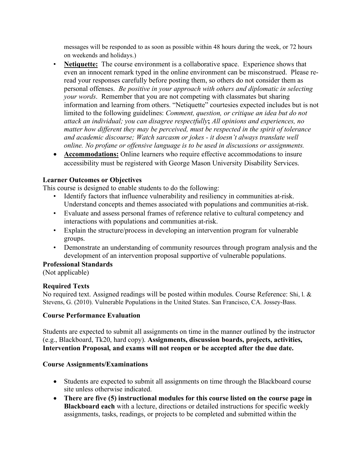messages will be responded to as soon as possible within 48 hours during the week, or 72 hours on weekends and holidays.)

- **Netiquette:** The course environment is a collaborative space. Experience shows that even an innocent remark typed in the online environment can be misconstrued. Please reread your responses carefully before posting them, so others do not consider them as personal offenses. *Be positive in your approach with others and diplomatic in selecting your words*. Remember that you are not competing with classmates but sharing information and learning from others. "Netiquette" courtesies expected includes but is not limited to the following guidelines: *Comment, question, or critique an idea but do not attack an individual; you can disagree respectfully***;** *All opinions and experiences, no matter how different they may be perceived, must be respected in the spirit of tolerance and academic discourse; Watch sarcasm or jokes - it doesn't always translate well online. No profane or offensive language is to be used in discussions or assignments.*
- **Accommodations:** Online learners who require effective accommodations to insure accessibility must be registered with George Mason University Disability Services.

### **Learner Outcomes or Objectives**

This course is designed to enable students to do the following:

- Identify factors that influence vulnerability and resiliency in communities at-risk. Understand concepts and themes associated with populations and communities at-risk.
- Evaluate and assess personal frames of reference relative to cultural competency and interactions with populations and communities at-risk.
- Explain the structure/process in developing an intervention program for vulnerable groups.
- Demonstrate an understanding of community resources through program analysis and the development of an intervention proposal supportive of vulnerable populations.

### **Professional Standards**

(Not applicable)

# **Required Texts**

No required text. Assigned readings will be posted within modules. Course Reference: Shi, l. & Stevens, G. (2010). Vulnerable Populations in the United States. San Francisco, CA. Jossey-Bass.

### **Course Performance Evaluation**

Students are expected to submit all assignments on time in the manner outlined by the instructor (e.g., Blackboard, Tk20, hard copy). **Assignments, discussion boards, projects, activities, Intervention Proposal, and exams will not reopen or be accepted after the due date.**

### **Course Assignments/Examinations**

- Students are expected to submit all assignments on time through the Blackboard course site unless otherwise indicated.
- **There are five (5) instructional modules for this course listed on the course page in Blackboard each** with a lecture, directions or detailed instructions for specific weekly assignments, tasks, readings, or projects to be completed and submitted within the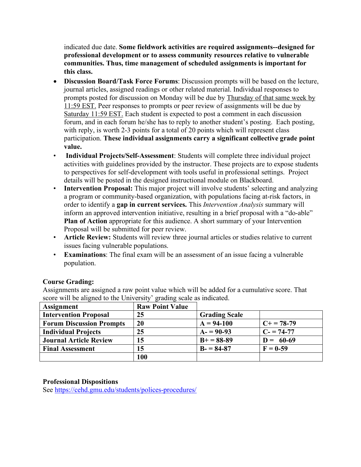indicated due date. **Some fieldwork activities are required assignments--designed for professional development or to assess community resources relative to vulnerable communities. Thus, time management of scheduled assignments is important for this class.** 

- **Discussion Board/Task Force Forums**: Discussion prompts will be based on the lecture, journal articles, assigned readings or other related material. Individual responses to prompts posted for discussion on Monday will be due by Thursday of that same week by 11:59 EST. Peer responses to prompts or peer review of assignments will be due by Saturday 11:59 EST. Each student is expected to post a comment in each discussion forum, and in each forum he/she has to reply to another student's posting. Each posting, with reply, is worth 2-3 points for a total of 20 points which will represent class participation. **These individual assignments carry a significant collective grade point value.**
- **Individual Projects/Self-Assessment**: Students will complete three individual project activities with guidelines provided by the instructor. These projects are to expose students to perspectives for self-development with tools useful in professional settings. Project details will be posted in the designed instructional module on Blackboard.
- **Intervention Proposal:** This major project will involve students' selecting and analyzing a program or community-based organization, with populations facing at-risk factors, in order to identify a **gap in current services.** This *Intervention Analysis* summary will inform an approved intervention initiative, resulting in a brief proposal with a "do-able" **Plan of Action** appropriate for this audience. A short summary of your Intervention Proposal will be submitted for peer review.
- **Article Review:** Students will review three journal articles or studies relative to current issues facing vulnerable populations.
- **Examinations**: The final exam will be an assessment of an issue facing a vulnerable population.

### **Course Grading:**

Assignments are assigned a raw point value which will be added for a cumulative score. That score will be aligned to the University' grading scale as indicated.

| <b>Assignment</b>               | <b>Raw Point Value</b> |                      |             |
|---------------------------------|------------------------|----------------------|-------------|
| <b>Intervention Proposal</b>    | 25                     | <b>Grading Scale</b> |             |
| <b>Forum Discussion Prompts</b> | 20                     | $A = 94-100$         | $C+=78-79$  |
| <b>Individual Projects</b>      | 25                     | $A = 90-93$          | $C = 74-77$ |
| <b>Journal Article Review</b>   | 15                     | $B+=88-89$           | $D = 60-69$ |
| <b>Final Assessment</b>         | 15                     | $B - 84-87$          | $F = 0-59$  |
|                                 | 100                    |                      |             |

### **Professional Dispositions**

See https://cehd.gmu.edu/students/polices-procedures/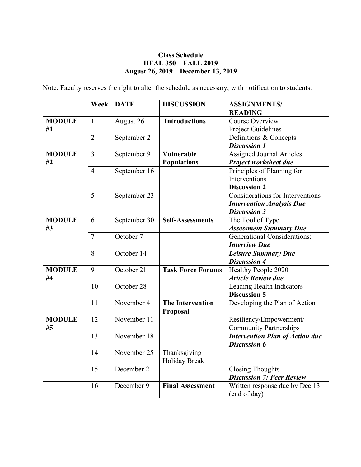## **Class Schedule HEAL 350 – FALL 2019 August 26, 2019 – December 13, 2019**

Note: Faculty reserves the right to alter the schedule as necessary, with notification to students.

|                     | Week           | <b>DATE</b>  | <b>DISCUSSION</b>        | <b>ASSIGNMENTS/</b>                    |
|---------------------|----------------|--------------|--------------------------|----------------------------------------|
|                     |                |              |                          | <b>READING</b>                         |
| <b>MODULE</b>       | $\mathbf{1}$   | August 26    | <b>Introductions</b>     | <b>Course Overview</b>                 |
| #1                  |                |              |                          | <b>Project Guidelines</b>              |
|                     | $\overline{2}$ | September 2  |                          | Definitions & Concepts                 |
|                     |                |              |                          | <b>Discussion 1</b>                    |
| <b>MODULE</b>       | 3              | September 9  | <b>Vulnerable</b>        | <b>Assigned Journal Articles</b>       |
| #2                  |                |              | <b>Populations</b>       | Project worksheet due                  |
|                     | $\overline{4}$ | September 16 |                          | Principles of Planning for             |
|                     |                |              |                          | Interventions                          |
|                     |                |              |                          | <b>Discussion 2</b>                    |
|                     | 5              | September 23 |                          | Considerations for Interventions       |
|                     |                |              |                          | <b>Intervention Analysis Due</b>       |
|                     |                |              |                          | <b>Discussion 3</b>                    |
| <b>MODULE</b><br>#3 | 6              | September 30 | <b>Self-Assessments</b>  | The Tool of Type                       |
|                     |                |              |                          | <b>Assessment Summary Due</b>          |
|                     | $\overline{7}$ | October 7    |                          | <b>Generational Considerations:</b>    |
|                     |                |              |                          | <b>Interview Due</b>                   |
|                     | 8              | October 14   |                          | <b>Leisure Summary Due</b>             |
|                     |                |              |                          | <b>Discussion 4</b>                    |
| <b>MODULE</b><br>#4 | 9              | October 21   | <b>Task Force Forums</b> | Healthy People 2020                    |
|                     |                |              |                          | <b>Article Review due</b>              |
|                     | 10             | October 28   |                          | Leading Health Indicators              |
|                     |                |              |                          | <b>Discussion 5</b>                    |
|                     | 11             | November 4   | <b>The Intervention</b>  | Developing the Plan of Action          |
|                     |                |              | <b>Proposal</b>          |                                        |
| <b>MODULE</b><br>#5 | 12             | November 11  |                          | Resiliency/Empowerment/                |
|                     |                |              |                          | <b>Community Partnerships</b>          |
|                     | 13             | November 18  |                          | <b>Intervention Plan of Action due</b> |
|                     |                |              |                          | <b>Discussion 6</b>                    |
|                     | 14             | November 25  | Thanksgiving             |                                        |
|                     |                |              | Holiday Break            |                                        |
|                     | 15             | December 2   |                          | <b>Closing Thoughts</b>                |
|                     |                |              |                          | <b>Discussion 7: Peer Review</b>       |
|                     | 16             | December 9   | <b>Final Assessment</b>  | Written response due by Dec 13         |
|                     |                |              |                          | (end of day)                           |